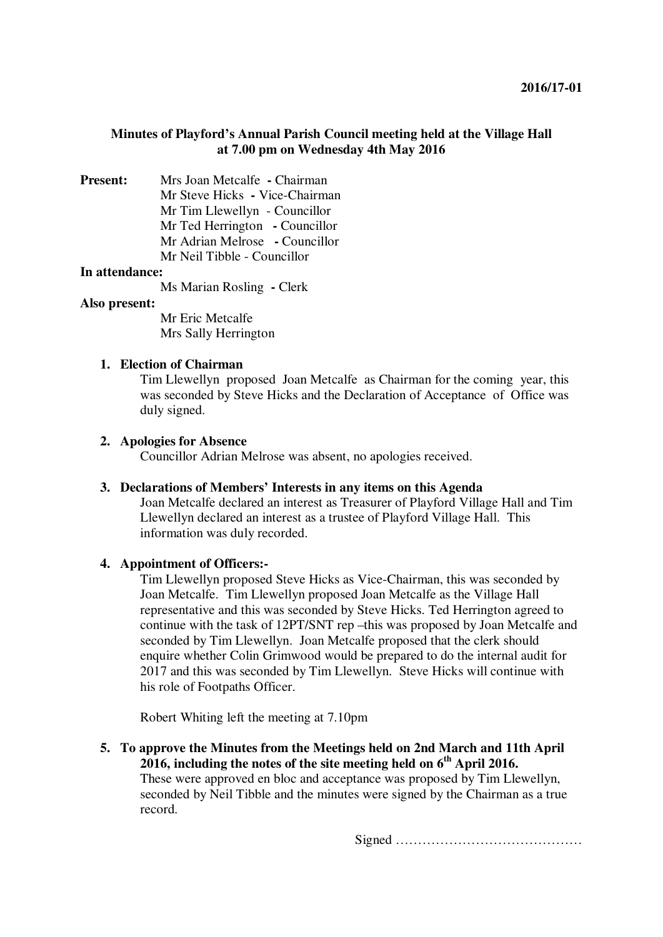# **Minutes of Playford's Annual Parish Council meeting held at the Village Hall at 7.00 pm on Wednesday 4th May 2016**

**Present:** Mrs Joan Metcalfe **-** Chairman Mr Steve Hicks **-** Vice-Chairman Mr Tim Llewellyn - Councillor Mr Ted Herrington **-** Councillor Mr Adrian Melrose **-** Councillor Mr Neil Tibble - Councillor

### **In attendance:**

Ms Marian Rosling **-** Clerk

### **Also present:**

Mr Eric Metcalfe Mrs Sally Herrington

# **1. Election of Chairman**

Tim Llewellyn proposed Joan Metcalfe as Chairman for the coming year, this was seconded by Steve Hicks and the Declaration of Acceptance of Office was duly signed.

### **2. Apologies for Absence**

Councillor Adrian Melrose was absent, no apologies received.

### **3. Declarations of Members' Interests in any items on this Agenda**

Joan Metcalfe declared an interest as Treasurer of Playford Village Hall and Tim Llewellyn declared an interest as a trustee of Playford Village Hall. This information was duly recorded.

## **4. Appointment of Officers:-**

Tim Llewellyn proposed Steve Hicks as Vice-Chairman, this was seconded by Joan Metcalfe. Tim Llewellyn proposed Joan Metcalfe as the Village Hall representative and this was seconded by Steve Hicks. Ted Herrington agreed to continue with the task of 12PT/SNT rep –this was proposed by Joan Metcalfe and seconded by Tim Llewellyn. Joan Metcalfe proposed that the clerk should enquire whether Colin Grimwood would be prepared to do the internal audit for 2017 and this was seconded by Tim Llewellyn. Steve Hicks will continue with his role of Footpaths Officer.

Robert Whiting left the meeting at 7.10pm

**5. To approve the Minutes from the Meetings held on 2nd March and 11th April 2016, including the notes of the site meeting held on 6th April 2016.**  These were approved en bloc and acceptance was proposed by Tim Llewellyn, seconded by Neil Tibble and the minutes were signed by the Chairman as a true record.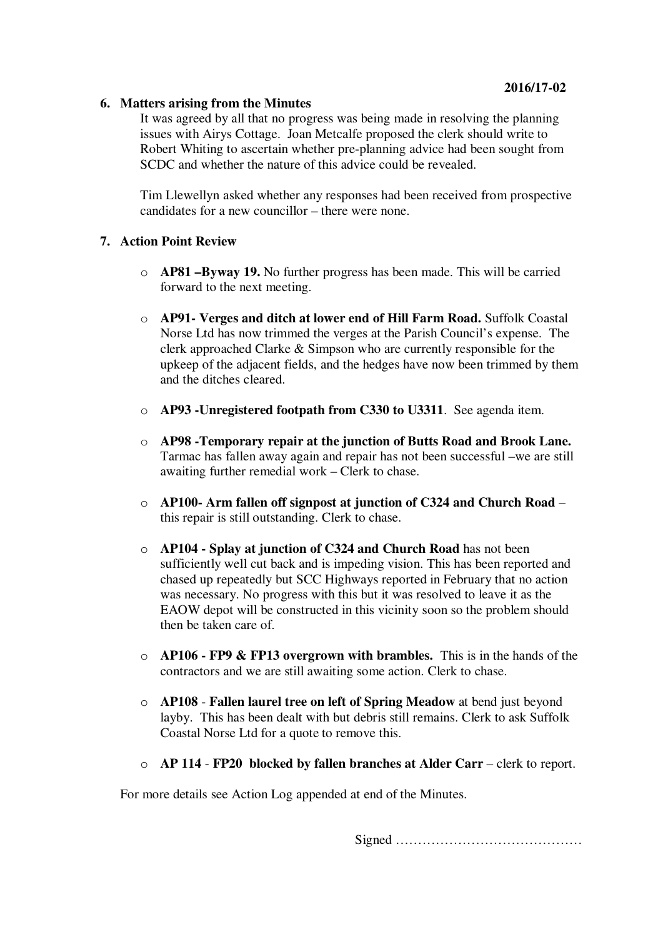### **6. Matters arising from the Minutes**

It was agreed by all that no progress was being made in resolving the planning issues with Airys Cottage. Joan Metcalfe proposed the clerk should write to Robert Whiting to ascertain whether pre-planning advice had been sought from SCDC and whether the nature of this advice could be revealed.

Tim Llewellyn asked whether any responses had been received from prospective candidates for a new councillor – there were none.

# **7. Action Point Review**

- o **AP81 –Byway 19.** No further progress has been made. This will be carried forward to the next meeting.
- o **AP91- Verges and ditch at lower end of Hill Farm Road.** Suffolk Coastal Norse Ltd has now trimmed the verges at the Parish Council's expense. The clerk approached Clarke & Simpson who are currently responsible for the upkeep of the adjacent fields, and the hedges have now been trimmed by them and the ditches cleared.
- o **AP93 -Unregistered footpath from C330 to U3311**. See agenda item.
- o **AP98 -Temporary repair at the junction of Butts Road and Brook Lane.** Tarmac has fallen away again and repair has not been successful –we are still awaiting further remedial work – Clerk to chase.
- o **AP100- Arm fallen off signpost at junction of C324 and Church Road** this repair is still outstanding. Clerk to chase.
- o **AP104 Splay at junction of C324 and Church Road** has not been sufficiently well cut back and is impeding vision. This has been reported and chased up repeatedly but SCC Highways reported in February that no action was necessary. No progress with this but it was resolved to leave it as the EAOW depot will be constructed in this vicinity soon so the problem should then be taken care of.
- o **AP106 FP9 & FP13 overgrown with brambles.** This is in the hands of the contractors and we are still awaiting some action. Clerk to chase.
- o **AP108 Fallen laurel tree on left of Spring Meadow** at bend just beyond layby. This has been dealt with but debris still remains. Clerk to ask Suffolk Coastal Norse Ltd for a quote to remove this.
- o **AP 114 FP20 blocked by fallen branches at Alder Carr** clerk to report.

For more details see Action Log appended at end of the Minutes.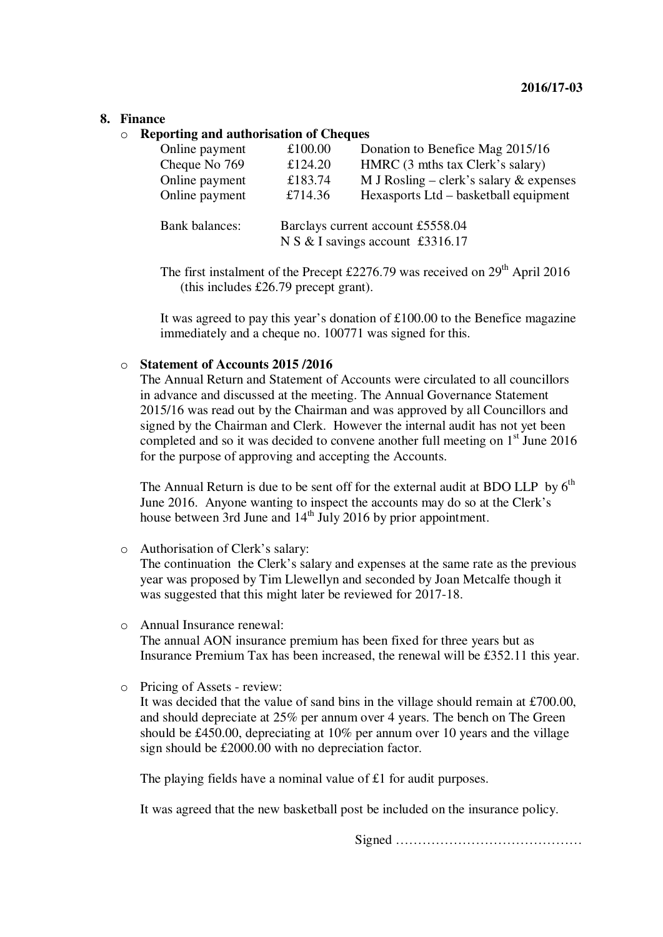### **8. Finance**

o **Reporting and authorisation of Cheques** 

| Online payment        | £100.00                                                               | Donation to Benefice Mag 2015/16          |
|-----------------------|-----------------------------------------------------------------------|-------------------------------------------|
| Cheque No 769         | £124.20                                                               | HMRC (3 mths tax Clerk's salary)          |
| Online payment        | £183.74                                                               | M J Rosling – clerk's salary $&$ expenses |
| Online payment        | £714.36                                                               | Hexasports Ltd – basketball equipment     |
| <b>Bank balances:</b> | Barclays current account £5558.04<br>N S & I savings account £3316.17 |                                           |

The first instalment of the Precept  $£2276.79$  was received on  $29<sup>th</sup>$  April 2016 (this includes £26.79 precept grant).

It was agreed to pay this year's donation of £100.00 to the Benefice magazine immediately and a cheque no. 100771 was signed for this.

# o **Statement of Accounts 2015 /2016**

The Annual Return and Statement of Accounts were circulated to all councillors in advance and discussed at the meeting. The Annual Governance Statement 2015/16 was read out by the Chairman and was approved by all Councillors and signed by the Chairman and Clerk. However the internal audit has not yet been completed and so it was decided to convene another full meeting on  $1<sup>st</sup>$  June 2016 for the purpose of approving and accepting the Accounts.

The Annual Return is due to be sent off for the external audit at BDO LLP by  $6<sup>th</sup>$ June 2016. Anyone wanting to inspect the accounts may do so at the Clerk's house between 3rd June and 14<sup>th</sup> July 2016 by prior appointment.

o Authorisation of Clerk's salary:

The continuation the Clerk's salary and expenses at the same rate as the previous year was proposed by Tim Llewellyn and seconded by Joan Metcalfe though it was suggested that this might later be reviewed for 2017-18.

- o Annual Insurance renewal: The annual AON insurance premium has been fixed for three years but as Insurance Premium Tax has been increased, the renewal will be £352.11 this year.
- o Pricing of Assets review:

It was decided that the value of sand bins in the village should remain at £700.00, and should depreciate at 25% per annum over 4 years. The bench on The Green should be £450.00, depreciating at 10% per annum over 10 years and the village sign should be £2000.00 with no depreciation factor.

The playing fields have a nominal value of £1 for audit purposes.

It was agreed that the new basketball post be included on the insurance policy.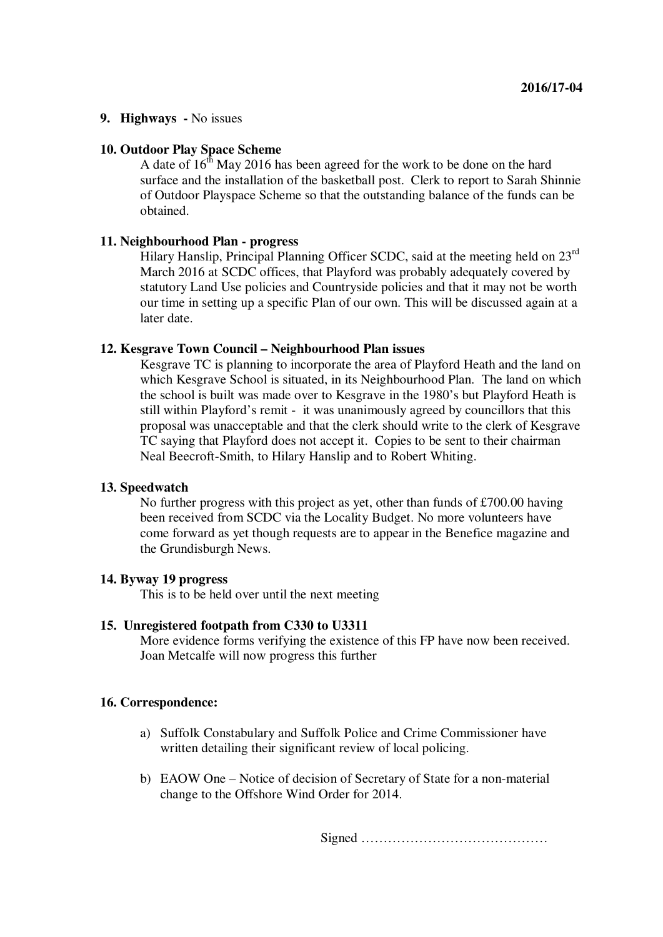### **9. Highways -** No issues

### **10. Outdoor Play Space Scheme**

A date of  $16<sup>th</sup>$  May 2016 has been agreed for the work to be done on the hard surface and the installation of the basketball post. Clerk to report to Sarah Shinnie of Outdoor Playspace Scheme so that the outstanding balance of the funds can be obtained.

# **11. Neighbourhood Plan - progress**

Hilary Hanslip, Principal Planning Officer SCDC, said at the meeting held on 23<sup>rd</sup> March 2016 at SCDC offices, that Playford was probably adequately covered by statutory Land Use policies and Countryside policies and that it may not be worth our time in setting up a specific Plan of our own. This will be discussed again at a later date.

### **12. Kesgrave Town Council – Neighbourhood Plan issues**

Kesgrave TC is planning to incorporate the area of Playford Heath and the land on which Kesgrave School is situated, in its Neighbourhood Plan. The land on which the school is built was made over to Kesgrave in the 1980's but Playford Heath is still within Playford's remit - it was unanimously agreed by councillors that this proposal was unacceptable and that the clerk should write to the clerk of Kesgrave TC saying that Playford does not accept it. Copies to be sent to their chairman Neal Beecroft-Smith, to Hilary Hanslip and to Robert Whiting.

### **13. Speedwatch**

No further progress with this project as yet, other than funds of £700.00 having been received from SCDC via the Locality Budget. No more volunteers have come forward as yet though requests are to appear in the Benefice magazine and the Grundisburgh News.

### **14. Byway 19 progress**

This is to be held over until the next meeting

#### **15. Unregistered footpath from C330 to U3311**

More evidence forms verifying the existence of this FP have now been received. Joan Metcalfe will now progress this further

### **16. Correspondence:**

- a) Suffolk Constabulary and Suffolk Police and Crime Commissioner have written detailing their significant review of local policing.
- b) EAOW One Notice of decision of Secretary of State for a non-material change to the Offshore Wind Order for 2014.